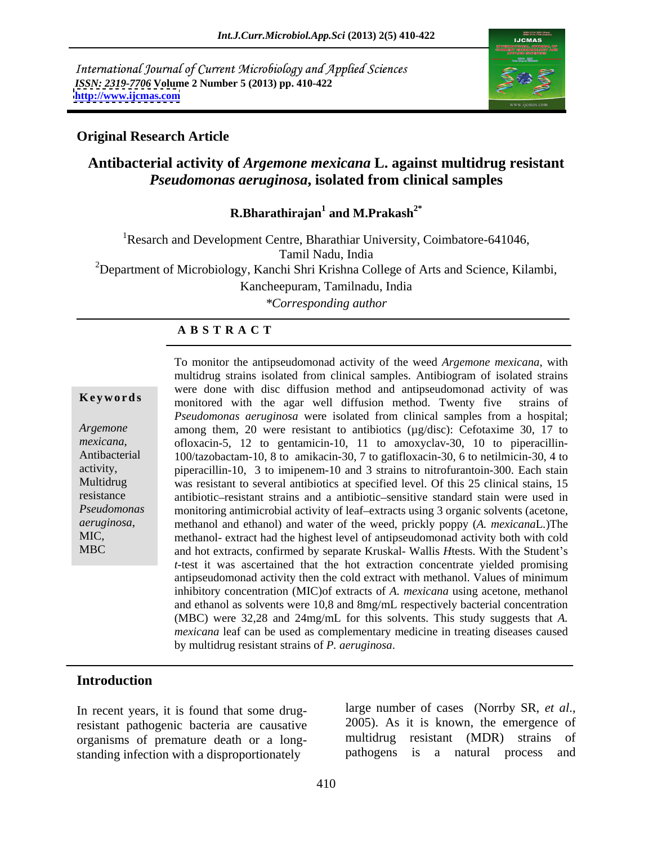International Journal of Current Microbiology and Applied Sciences *ISSN: 2319-7706* **Volume 2 Number 5 (2013) pp. 410-422 <http://www.ijcmas.com>**



### **Original Research Article**

# **Antibacterial activity of** *Argemone mexicana* **L. against multidrug resistant**  *Pseudomonas aeruginosa***, isolated from clinical samples**

### **R.Bharathirajan<sup>1</sup> and M.Prakash2\***

<sup>1</sup>Resarch and Development Centre, Bharathiar University, Coimbatore-641046, Tamil Nadu, India <sup>2</sup>Department of Microbiology, Kanchi Shri Krishna College of Arts and Science, Kilambi, Kancheepuram, Tamilnadu, India

*\*Corresponding author* 

### **A B S T R A C T**

**Keywords** monitored with the agar well diffusion method. Twenty five strains of *Argemone* among them, 20 were resistant to antibiotics (µg/disc): Cefotaxime 30, 17 to *mexicana*, ofloxacin-5, 12 to gentamicin-10, 11 to amoxyclav-30, 10 to piperacillin- Antibacterial 100/tazobactam-10, 8 to amikacin-30, 7 to gatifloxacin-30, 6 to netilmicin-30, 4 to activity, piperacillin-10, 3 to imipenem-10 and 3 strains to nitrofurantoin-300. Each stain Multidrug was resistant to several antibiotics at specified level. Of this 25 clinical stains, 15 resistance antibiotic-resistant strains and a antibiotic-sensitive standard stain were used in Pseudomonas monitoring antimicrobial activity of leaf-extracts using 3 organic solvents (acetone, *aeruginosa*, methanol and ethanol) and water of the weed, prickly poppy (*A. mexicanaL.*)The methanol- extract had the highest level of antipseudomonad activity both with cold MBC and hot extracts, confirmed by separate Kruskal- Wallis *H*tests. With the Student s To monitor the antipseudomonad activity of the weed *Argemone mexicana*, with multidrug strains isolated from clinical samples. Antibiogram of isolated strains were done with disc diffusion method and antipseudomonad activity of was *Pseudomonas aeruginosa* were isolated from clinical samples from a hospital; methanol- extract had the highest level of antipseudomonad activity both with cold *t*-test it was ascertained that the hot extraction concentrate yielded promising antipseudomonad activity then the cold extract with methanol. Values of minimum inhibitory concentration (MIC)of extracts of *A. mexicana* using acetone, methanol and ethanol as solvents were 10,8 and 8mg/mL respectively bacterial concentration (MBC) were 32,28 and 24mg/mL for this solvents. This study suggests that *A. mexicana* leaf can be used as complementary medicine in treating diseases caused by multidrug resistant strains of *P. aeruginosa*.

### **Introduction**

resistant pathogenic bacteria are causative organisms of premature death or a long standing infection with a disproportionately

In recent years, it is found that some drug-<br>resistant pathogenic bacteria are causative 2005). As it is known, the emergence of large number of cases (Norrby SR, *et al*., 2005). As it is known, the emergence of multidrug resistant (MDR) strains of pathogens is a natural process and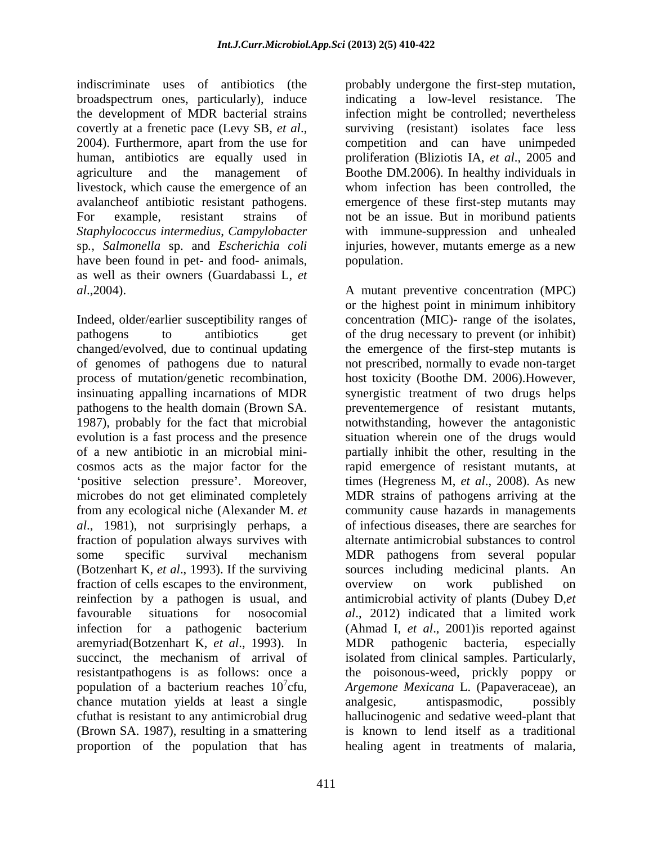indiscriminate uses of antibiotics (the probably undergone the first-step mutation, broadspectrum ones, particularly), induce indicating a low-level resistance. The the development of MDR bacterial strains covertly at a frenetic pace (Levy SB, *et al.*, surviving (resistant) isolates face less 2004). Furthermore, apart from the use for competition and can have unimpeded human, antibiotics are equally used in proliferation (Bliziotis IA, *et al*., 2005 and agriculture and the management of Boothe DM.2006). In healthy individuals in livestock, which cause the emergence of an avalancheof antibiotic resistant pathogens. emergence of these first-step mutants may For example, resistant strains of not be an issue. But in moribund patients *Staphylococcus intermedius*, *Campylobacter*  sp*., Salmonella* sp. and *Escherichia coli* injuries, however, mutants emerge as a new have been found in pet- and food- animals, population. as well as their owners (Guardabassi L, *et* 

pathogens to the health domain (Brown SA. *al*., 1981), not surprisingly perhaps, a fraction of population always survives with fraction of cells escapes to the environment, overview on work published on aremyriad(Botzenhart K, *et al*., 1993). In chance mutation yields at least a single analgesic, antispasmodic, possibly proportion of the population that has healing agent in treatments of malaria,

infection might be controlled; nevertheless surviving (resistant) isolates face less competition and can have unimpeded whom infection has been controlled, the with immune-suppression and unhealed population.

*al*.,2004). A mutant preventive concentration (MPC) Indeed, older/earlier susceptibility ranges of concentration (MIC)- range of the isolates, pathogens to antibiotics get of the drug necessary to prevent (or inhibit) changed/evolved, due to continual updating the emergence of the first-step mutants is of genomes of pathogens due to natural not prescribed, normally to evade non-target process of mutation/genetic recombination, host toxicity (Boothe DM. 2006).However, insinuating appalling incarnations of MDR synergistic treatment of two drugs helps 1987), probably for the fact that microbial notwithstanding, however the antagonistic evolution is a fast process and the presence situation wherein one of the drugs would of a new antibiotic in an microbial mini- partially inhibit the other, resulting in the cosmos acts as the major factor for the rapid emergence of resistant mutants, at positive selection pressure'. Moreover, times (Hegreness M, *et al.*, 2008). As new microbes do not get eliminated completely MDR strains of pathogens arriving at the from any ecological niche (Alexander M. *et*  community cause hazards in managements some specific survival mechanism MDR pathogens from several popular (Botzenhart K, *et al*., 1993). If the surviving sources including medicinal plants. An reinfection by a pathogen is usual, and antimicrobial activity of plants (Dubey D,*et*  favourable situations for nosocomial *al*., 2012) indicated that a limited work infection for a pathogenic bacterium (Ahmad I, *et al*., 2001)is reported against succinct, the mechanism of arrival of isolated from clinical samples. Particularly, resistantpathogens is as follows: once a the poisonous-weed, prickly poppy or population of a bacterium reaches 10 7 cfu, *Argemone Mexicana* L. (Papaveraceae), an cfuthat is resistant to any antimicrobial drug hallucinogenic and sedative weed-plant that (Brown SA. 1987), resulting in a smattering is known to lend itself as a traditional or the highest point in minimum inhibitory preventemergence of resistant mutants, of infectious diseases, there are searches for alternate antimicrobial substances to control overview on work published on MDR pathogenic bacteria, especially analgesic, antispasmodic, possibly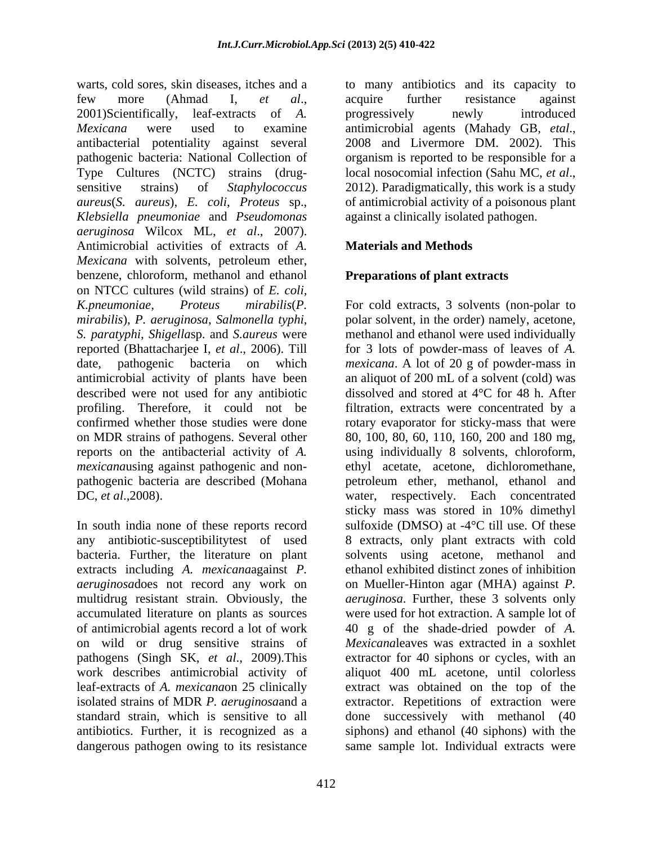warts, cold sores, skin diseases, itches and a few more (Ahmad I, *et al*., 2001)Scientifically, leaf-extracts of *A. Mexicana* were used to examine antimicrobial agents (Mahady GB, etal., antibacterial potentiality against several 2008 and Livermore DM, 2002). This pathogenic bacteria: National Collection of organism is reported to be responsible for a Type Cultures (NCTC) strains (drug-<br>local nosocomial infection (Sahu MC, et al., sensitive strains) of *Staphylococcus* 2012). Paradigmatically, this work is a study *aureus*(*S. aureus*), *E. coli*, *Proteus* sp., *Klebsiella pneumoniae* and *Pseudomonas aeruginosa* Wilcox ML, *et al*., 2007). Antimicrobial activities of extracts of *A. Mexicana* with solvents, petroleum ether,<br>benzene, chloroform, methanol and ethanol **Preparations of plant extracts** on NTCC cultures (wild strains) of *E. coli, K.pneumoniae, Proteus mirabilis*(*P.*  For cold extracts, 3 solvents (non-polar to *mirabilis*), *P. aeruginosa*, *Salmonella typhi*, polar solvent, in the order) namely, acetone, *S. paratyphi*, *Shigella*sp. and *S.aureus* were reported (Bhattacharjee I, *et al*., 2006). Till for 3 lots of powder-mass of leaves of *A.*  date, pathogenic bacteria on which *mexicana*. A lot of 20 g of powder-mass in antimicrobial activity of plants have been an aliquot of 200 mL of a solvent (cold)was described were not used for any antibiotic dissolved and stored at 4°C for 48 h. After profiling. Therefore, it could not be filtration, extracts were concentrated by a confirmed whether those studies were done ordary evaporator for sticky-mass that were on MDR strains of pathogens. Several other 80, 100, 80, 60, 110, 160, 200 and 180 mg, reports on the antibacterial activity of *A.*  using individually 8 solvents, chloroform, *mexicana*using against pathogenic and non- ethyl acetate, acetone, dichloromethane, pathogenic bacteria are described (Mohana petroleum ether, methanol, ethanol and

In south india none of these reports record sulfoxide (DMSO) at -4°C till use. Of these any antibiotic-susceptibilitytest of used bacteria. Further, the literature on plant extracts including *A. mexicana*against *P. aeruginosa*does not record any work on on Mueller-Hinton agar (MHA) against *P.*  multidrug resistant strain. Obviously, the *aeruginosa*. Further, these 3 solvents only accumulated literature on plants as sources were used for hot extraction. A sample lot of of antimicrobial agents record a lot of work 40 g of the shade-dried powder of *A.*  on wild or drug sensitive strains of *Mexicana*leaves was extracted in a soxhlet pathogens (Singh SK, *et al*., 2009).This extractor for 40 siphons or cycles, with an work describes antimicrobial activity of aliquot 400 mL acetone, until colorless leaf-extracts of *A. mexicana*on 25 clinically extract was obtained on the top of the isolated strains of MDR *P. aeruginosa*and a extractor. Repetitions of extraction were standard strain, which is sensitive to all done successively with methanol (40 antibiotics. Further, it is recognized as a siphons) and ethanol (40 siphons) with the

to many antibiotics and its capacity to acquire further resistance against progressively newly introduced antimicrobial agents(Mahady GB, *etal*., 2008 and Livermore DM. 2002). This local nosocomial infection (Sahu MC, *et al*., 2012). Paradigmatically, this work is <sup>a</sup> study of antimicrobial activity of a poisonous plant against a clinically isolated pathogen.

# **Materials and Methods**

# **Preparations of plant extracts**

DC, *et al.*, 2008). water, respectively. Each concentrated dangerous pathogen owing to its resistance same sample lot. Individual extracts weremethanol and ethanol were used individually sticky mass was stored in 10% dimethyl 8 extracts, only plant extracts with cold solvents using acetone, methanol and ethanol exhibited distinct zones of inhibition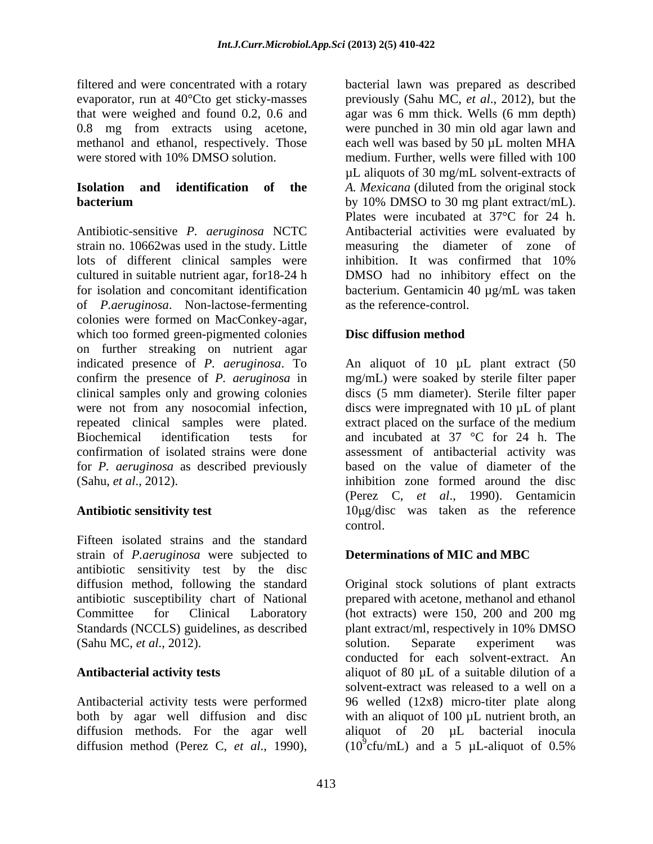Antibiotic-sensitive *P. aeruginosa* NCTC strain no. 10662was used in the study. Little measuring the diameter of zone of lots of different clinical samples were inhibition. It was confirmed that 10% cultured in suitable nutrient agar, for18-24 h DMSO had no inhibitory effect on the for isolation and concomitant identification bacterium. Gentamicin 40 µg/mL was taken of *P.aeruginosa*. Non-lactose-fermenting colonies were formed on MacConkey-agar, which too formed green-pigmented colonies **Disc diffusion method** on further streaking on nutrient agar indicated presence of *P. aeruginosa*. To An aliquot of 10 µL plant extract (50 confirm the presence of *P. aeruginosa* in mg/mL) were soaked by sterile filter paper clinical samples only and growing colonies discs (5 mm diameter). Sterile filter paper were not from any nosocomial infection, discs were impregnated with 10  $\mu$ L of plant repeated clinical samples were plated. extract placed on the surface of the medium Biochemical identification tests for and incubated at 37 °C for 24 h. The confirmation of isolated strains were done assessment of antibacterial activity was for *P. aeruginosa* as described previously (Sahu, *et al*., 2012).

Fifteen isolated strains and the standard strain of *P.aeruginosa* were subjected to antibiotic sensitivity test by the disc diffusion method, following the standard Original stock solutions of plant extracts antibiotic susceptibility chart of National Committee for Clinical Laboratory (hot extracts) were 150, 200 and 200 mg Standards (NCCLS) guidelines, as described plant extract/ml, respectively in 10% DMSO (Sahu MC, *et al*., 2012).

diffusion method (Perez C, *et al.*, 1990),  $(10^9 \text{c} \text{fu/mL})$  and a 5  $\mu$ L-aliquot of 0.5%

filtered and were concentrated with a rotary bacterial lawn was prepared as described evaporator, run at 40°Cto get sticky-masses previously (Sahu MC, *et al*., 2012), but the that were weighed and found 0.2, 0.6 and agarwas 6 mm thick. Wells (6 mm depth) 0.8 mg from extracts using acetone, were punched in 30 min old agar lawn and methanol and ethanol, respectively. Those each well was based by 50 µL molten MHA were stored with 10% DMSO solution. medium. Further, wells were filled with 100 **Isolation and identification of the** *A. Mexicana* (diluted from the original stock **bacterium** by 10% DMSO to 30 mg plant extract/mL). µL aliquots of 30 mg/mL solvent-extracts of by 10% DMSO to 30 mg plant extract/mL). Plates were incubated at 37°C for 24 h. Antibacterial activities were evaluated by inhibition. It was confirmed that 10% as the reference-control.

# **Disc diffusion method**

**Antibiotic sensitivity test** 10µg/disc was taken as the reference based on the value of diameter of the inhibition zone formed around the disc (Perez C, *et al*., 1990). Gentamicin control.

# **Determinations of MIC and MBC**

**Antibacterial activity tests** aliquot of 80 µL of a suitable dilution of a Antibacterial activity tests were performed 96 welled (12x8) micro-titer plate along both by agar well diffusion and disc with an aliquot of 100 µL nutrient broth, an diffusion methods. For the agar well aliquot of 20 µL bacterial inocula prepared with acetone, methanol and ethanol solution. Separate experiment was conducted for each solvent-extract. An solvent-extract was released to a well on a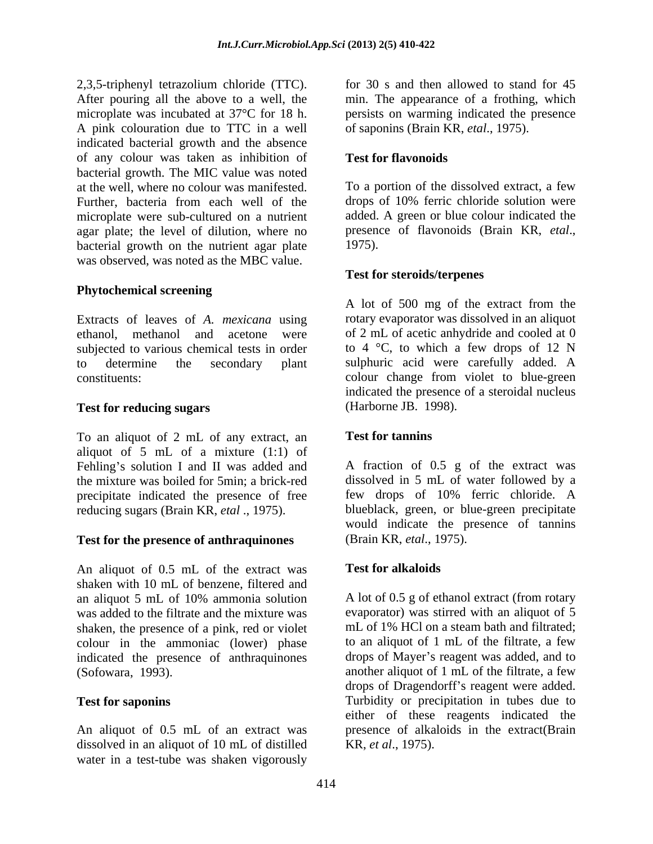2,3,5-triphenyl tetrazolium chloride (TTC). After pouring all the above to a well, the min. The appearance of a frothing, which microplate was incubated at 37°C for 18 h. <br> persists on warming indicated the presence A pink colouration due to TTC in a well indicated bacterial growth and the absence of any colour was taken as inhibition of bacterial growth. The MIC value was noted at the well, where no colour was manifested. To a portion of the dissolved extract, a few Further, bacteria from each well of the microplate were sub-cultured on a nutrient added. A green or blue colour indicated the agar plate: the level of dilution, where no presence of flavonoids (Brain KR, *etal.*, agar plate; the level of dilution, where no bacterial growth on the nutrient agar plate 1975). was observed, was noted as the MBC value.

## **Phytochemical screening**

Extracts of leaves of *A. mexicana* using ethanol, methanol and acetone were of 2 mL of acetic anhydride and cooled at 0 subjected to various chemical tests in order to determine the secondary plant sulphuric acid were carefully added. A constituents: colour change from violet to blue-green

### **Test for reducing sugars**

To an aliquot of 2 mL of any extract, an **Test for tannins** aliquot of 5 mL of a mixture (1:1) of Fehling's solution I and II was added and the mixture was boiled for 5min; a brick-red precipitate indicated the presence of free

### **Test for the presence of anthraquinones**

An aliquot of 0.5 mL of the extract was **Test for alkaloids** shaken with 10 mL of benzene, filtered and an aliquot 5 mL of 10% ammonia solution was added to the filtrate and the mixture was shaken, the presence of a pink, red or violet colour in the ammoniac (lower) phase indicated the presence of anthraquinones

dissolved in an aliquot of 10 mL of distilled water in a test-tube was shaken vigorously

for 30 s and then allowed to stand for 45 of saponins (Brain KR, *etal*., 1975).

## **Test for flavonoids**

drops of 10% ferric chloride solution were added. A green or blue colour indicated the presence of flavonoids (Brain KR, *etal*., 1975).

### **Test for steroids/terpenes**

A lot of 500 mg of the extract from the rotary evaporator was dissolved in an aliquot to  $4 \degree C$ , to which a few drops of 12 N indicated the presence of a steroidal nucleus (Harborne JB. 1998).

# **Test for tannins**

reducing sugars (Brain KR, *etal* ., 1975). blueblack, green, or blue-green precipitate A fraction of 0.5 g of the extract was dissolved in 5 mL of water followed by a few drops of 10% ferric chloride. A would indicate the presence of tannins (Brain KR, *etal*., 1975).

### **Test for alkaloids**

(Sofowara, 1993). another aliquot of 1 mL of the filtrate, a few **Test for saponins** Turbidity or precipitation in tubes due to An aliquot of 0.5 mL of an extract was presence of alkaloids in the extract(Brain A lot of 0.5 g of ethanol extract (from rotary evaporator) was stirred with an aliquot of 5 mL of 1% HCl on a steam bath and filtrated; to an aliquot of 1 mL of the filtrate, a few drops of Mayer's reagent was added, and to drops of Dragendorff's reagent were added. either of these reagents indicated the KR, *et al*., 1975).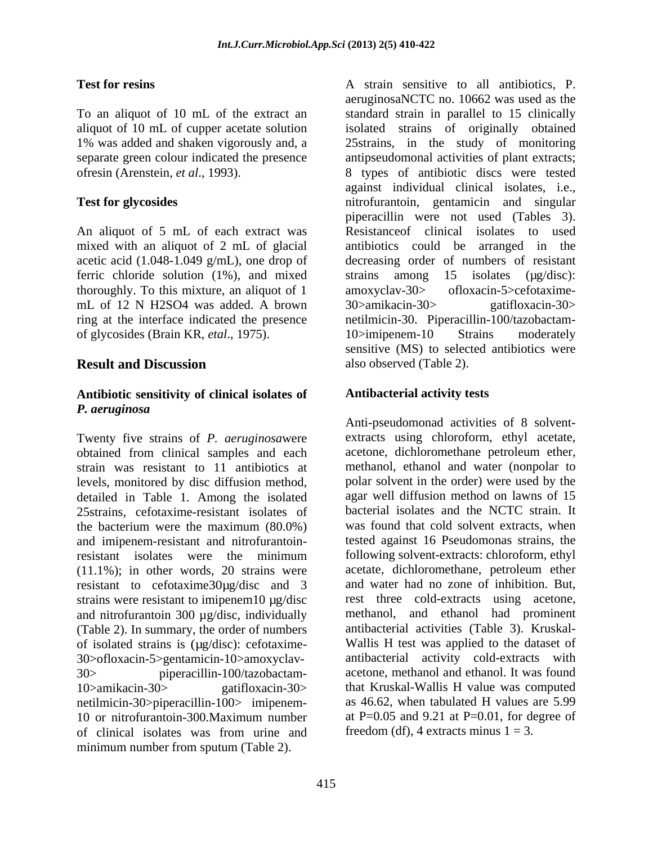An aliquot of 5 mL of each extract was mixed with an aliquot of 2 mL of glacial ferric chloride solution  $(1\%)$ , and mixed strains among 15 isolates  $(\mu g/disc)$ : thoroughly. To this mixture, an aliquot of 1 amoxyclay-30 by of loxacin-5 > cefotaximemL of 12 N H2SO4 was added. A brown 30>amikacin-30> gatifloxacin-30> of glycosides (Brain KR, *etal*., 1975).

### **Antibiotic sensitivity of clinical isolates of** *P. aeruginosa*

Twenty five strains of *P. aeruginosa*were obtained from clinical samples and each strain was resistant to 11 antibiotics at levels, monitored by disc diffusion method, detailed in Table 1. Among the isolated 25strains, cefotaxime-resistant isolates of and imipenem-resistant and nitrofurantoinresistant to cefotaxime30µg/disc and 3 strains were resistant to imipenem10  $\mu$ g/disc and nitrofurantoin 300 µg/disc, individually (Table 2). In summary, the order of numbers of isolated strains is (µg/disc): cefotaxime-30>ofloxacin-5>gentamicin-10>amoxyclav netilmicin-30>piperacillin-100> imipenem of clinical isolates was from urine and

**Test for resins** Test **h A** strain sensitive to all antibiotics, P. To an aliquot of 10 mL of the extract an standard strain in parallel to 15 clinically aliquot of 10 mL of cupper acetate solution isolated strains of originally obtained 1% was added and shaken vigorously and, a 25strains, in the study of monitoring separate green colour indicated the presence antipseudomonal activities of plant extracts; ofresin (Arenstein, *et al*., 1993). 8 types of antibiotic discs were tested **Test for glycosides** nitrofurantoin, gentamicin and singular acetic acid (1.048-1.049 g/mL), one drop of decreasing order of numbers of resistant ring at the interface indicated the presence netilmicin-30. Piperacillin-100/tazobactam- **Result and Discussion** also observed (Table 2). aeruginosaNCTC no. 10662 was used as the against individual clinical isolates, i.e., nitrofurantoin, gentamicin and singular piperacillin were not used (Tables 3). Resistanceof clinical isolates to used antibiotics could be arranged in the strains among 15 isolates (µg/disc): amoxyclav-30> ofloxacin-5>cefotaxime- 30>amikacin-30> gatifloxacin-30> 10>imipenem-10 Strains moderately sensitive (MS) to selected antibiotics were also observed (Table 2).

# **Antibacterial activity tests**

the bacterium were the maximum (80.0%) was found that cold solvent extracts, when resistant isolates were the minimum following solvent-extracts: chloroform, ethyl (11.1%); in other words, 20 strains were acetate, dichloromethane, petroleum ether 30> piperacillin-100/tazobactam- acetone, methanol and ethanol. It was found 10>amikacin-30> gatifloxacin-30> that Kruskal-Wallis H value was computed 10 or nitrofurantoin-300.Maximum number at P=0.05 and 9.21 at P=0.01, for degree of **Fest form cluster and the sputum of the state sensitive to all antibiotics, P. C. (1662 was used as the space of the state of the strain series of the strain series of the strain series of the strain series of the strain** Anti-pseudomonad activities of 8 solvent extracts using chloroform, ethyl acetate, acetone, dichloromethane petroleum ether, methanol, ethanol and water (nonpolar to polar solvent in the order) were used by the agar well diffusion method on lawns of 15 bacterial isolates and the NCTC strain. It was found that cold solvent extracts, when tested against 16 Pseudomonas strains, the and water had no zone of inhibition. But, rest three cold-extracts using acetone, methanol, and ethanol had prominent antibacterial activities (Table 3). Kruskal- Wallis H test was applied to the dataset of antibacterial activity cold-extracts with as 46.62, when tabulated H values are 5.99 at P $=0.05$  and 9.21 at P $=0.01$ , for degree of freedom (df), 4 extracts minus  $1 = 3$ .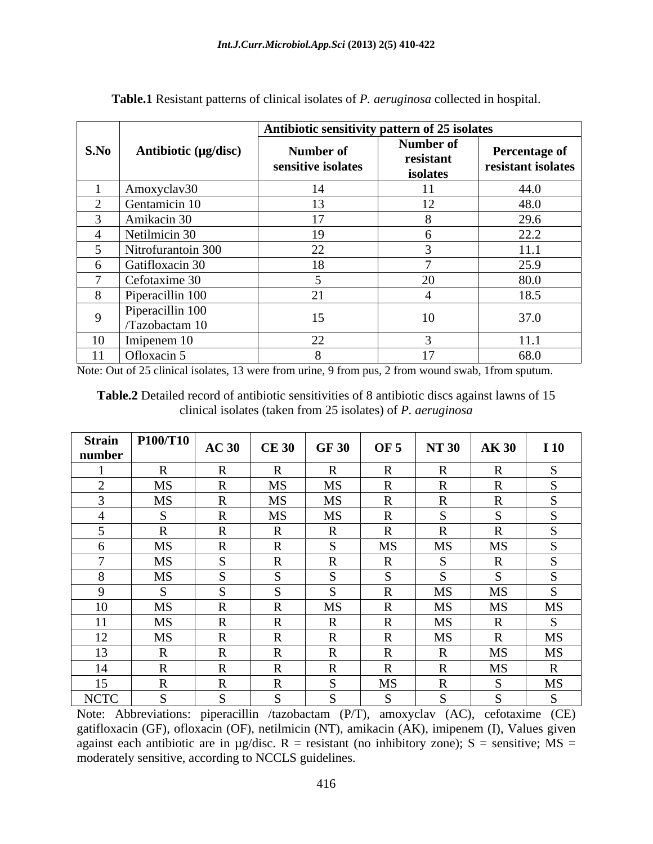|          |                                    | Antibiotic sensitivity pattern of 25 isolates |                                    |                                            |
|----------|------------------------------------|-----------------------------------------------|------------------------------------|--------------------------------------------|
| S.No     | Antibiotic (µg/disc)               | Number of<br>sensitive isolates               | Number of<br>resistant<br>isolates | <b>Percentage of</b><br>resistant isolates |
|          | Amoxyclav30                        |                                               |                                    | 44.0                                       |
|          | Gentamicin 10                      |                                               | $\overline{ }$                     | 48.0                                       |
|          | Amikacin 30                        |                                               |                                    | 29.6                                       |
|          | Netilmicin 30                      | 1 C                                           |                                    | 22.2                                       |
|          | Nitrofurantoin 300                 | $\gamma$<br>∠∠                                |                                    | 11.1                                       |
|          | Gatifloxacin 30                    |                                               |                                    | 25.9                                       |
|          | Cefotaxime 30                      |                                               | 20                                 | 80.0                                       |
|          | Piperacillin 100                   | $\bigcap$ 1                                   |                                    | 18.5                                       |
| $\Omega$ | Piperacillin 100<br>/Tazobactam 10 |                                               | 10                                 | 37.0                                       |
|          | Imipenem 10                        | $\Omega$                                      |                                    | 11.1                                       |
|          | Ofloxacin 5                        |                                               |                                    | 68.0                                       |

**Table.1** Resistant patterns of clinical isolates of *P. aeruginosa* collected in hospital.

Note: Out of 25 clinical isolates, 13 were from urine, 9 from pus, 2 from wound swab, 1from sputum.

**Table.2** Detailed record of antibiotic sensitivities of 8 antibiotic discs against lawns of 15 clinical isolates (taken from 25 isolates) of *P. aeruginosa*

|             | Strain   P100/T10 | $\vert$ AC 30 $\vert$ CE 30 $\vert$ GF 30 |              |              | <b>OF 5</b>         |              | <b>AK 30</b>                 |             |
|-------------|-------------------|-------------------------------------------|--------------|--------------|---------------------|--------------|------------------------------|-------------|
| number      |                   |                                           |              |              |                     | <b>NT 30</b> |                              | <b>I</b> 10 |
|             |                   | $\mathbf{r}$                              |              | $\mathbf{D}$ | $\mathbf{R}$        | $\mathbf{R}$ | $\mathbf{D}$                 |             |
|             | MS                | $\mathbf R$                               | MS           | <b>MS</b>    | $\mathbf R$         | $\mathbf{R}$ | D<br>$\mathbf{v}$            |             |
|             | MS                | $\mathbf{D}$                              | <b>MS</b>    | MS           | $\mathbf R$         | $\mathbf{R}$ | $\mathbf{D}$                 |             |
|             |                   |                                           | MS.          | MS           |                     |              |                              |             |
|             |                   |                                           |              |              | D                   | $\mathbf{R}$ | D                            |             |
|             | MS                | $\mathbf{r}$                              |              |              | MS                  | MS           | MS                           |             |
|             | MS                |                                           | <sup>n</sup> | മ<br>X.      | $\mathbf{D}$<br>K.  | - 5          | D<br>$\bf{r}$                |             |
|             | MS                | $\sim$                                    | $\sim$       |              | $\sim$              | <sub>S</sub> | $\sim$                       |             |
|             |                   |                                           |              |              | $\mathbf{D}$<br>TV. | MS           | MS                           |             |
|             | MS                | $\mathbf{r}$                              |              | <b>MS</b>    | $\mathbf{D}$<br>K   | MS           | MS                           | <b>MS</b>   |
| $\pm 1$     | MS                | $\mathbf{r}$<br>v                         |              |              | <sup>n</sup>        | MS           | $\mathbf{D}$<br>$\mathbf{v}$ |             |
| 12          | MS                | D<br>-18                                  |              | TV.          | $\mathbf R$         | MS           | $\mathbf{R}$                 | <b>MS</b>   |
| 13          |                   | $\mathbf{r}$                              |              |              | $\mathbf{D}$        | $\mathbf{R}$ | MS                           | <b>MS</b>   |
| 14          |                   | $\mathbf{D}$                              |              |              | $\mathbf R$         | $\mathbf{R}$ | MS                           |             |
| 15          |                   |                                           |              |              | MS                  | $\mathbf{R}$ |                              | <b>MS</b>   |
| <b>NCTC</b> |                   |                                           |              |              |                     |              |                              |             |

Note: Abbreviations: piperacillin /tazobactam (P/T), amoxyclav (AC), cefotaxime (CE) gatifloxacin (GF), ofloxacin (OF), netilmicin (NT), amikacin (AK), imipenem (I), Values given against each antibiotic are in  $\mu$ g/disc. R = resistant (no inhibitory zone); S = sensitive; MS = moderately sensitive, according to NCCLS guidelines.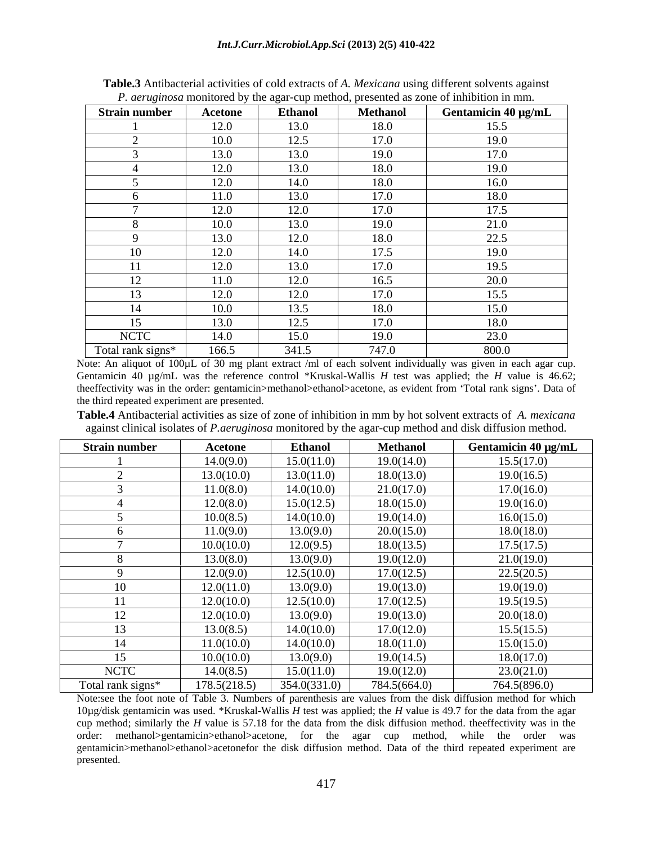|                      | <i>1</i> , act against momenta by the again cap memoa, presence as zone of immonion in min. |                |                 |                     |
|----------------------|---------------------------------------------------------------------------------------------|----------------|-----------------|---------------------|
| <b>Strain number</b> | Acetone                                                                                     | <b>Ethanol</b> | <b>Methanol</b> | Gentamicin 40 µg/mL |
|                      | 12.0                                                                                        | 13.0           | 18.0            | 15.5                |
|                      | 10.0                                                                                        | 12.5           | 17.0            | 19.0                |
|                      | 13.0                                                                                        | 13.0           | 19.0            | 17.0                |
|                      | 12.0                                                                                        | 13.0           | 18.0            | 19.0                |
|                      | 12.0                                                                                        | 14.0           | 18.0            | 16.0                |
|                      | 11.0                                                                                        | 13.0           | 17.0            | 18.0                |
|                      | 12.0                                                                                        | 12.0           | 17.0            | 17.5                |
|                      | 10.0                                                                                        | 13.0           | 19.0            | 21.0                |
|                      | 13.0                                                                                        | 12.0           | 18.0            | 22.5                |
| 10                   | 12.0                                                                                        | 14.0           | 17.5            | 19.0                |
| 11                   | 12.0                                                                                        | 13.0           | 17.0            | 19.5                |
| 12                   | 11.0                                                                                        | 12.0           | 16.5            | 20.0                |
| 13                   | 12.0                                                                                        | 12.0           | 17.0            | 15.5                |
| 1 <sub>A</sub><br>14 | 10.0                                                                                        | 13.5           | 18.0            | 15.0                |
| 15                   | 13.0                                                                                        | 12.5           | 17.0            | 18.0                |
| <b>NCTC</b>          | 14.0                                                                                        | 15.0           | 19.0            | 23.0                |
| Total rank signs*    | 166.5                                                                                       | 341.5          | 747.0           | 800.0               |

**Table.3** Antibacterial activities of cold extracts of *A. Mexicana* using different solvents against *P. geruginosa* monitored by the agar-cup method, presented as zone of inhibition in mm.

Note: An aliquot of 100µL of 30 mg plant extract /ml of each solvent individually was given in each agar cup. Gentamicin 40 µg/mL was the reference control \*Kruskal-Wallis *H* test was applied; the *H* value is 46.62; theeffectivity was in the order: gentamicin>methanol>ethanol>acetone, as evident from Total rank signs . Data of the third repeated experiment are presented.

**Table.4** Antibacterial activities as size of zone of inhibition in mm by hot solvent extracts of *A. mexicana*  against clinical isolates of *P.aeruginosa* monitored by the agar-cup method and disk diffusion method.

| <b>Strain number</b> | <b>Acetone</b> | <b>Ethanol</b> | <b>Methanol</b> | Gentamicin 40 µg/mL |
|----------------------|----------------|----------------|-----------------|---------------------|
|                      | 14.0(9.0)      | 15.0(11.0)     | 19.0(14.0)      | 15.5(17.0)          |
|                      | 13.0(10.0)     | 13.0(11.0)     | 18.0(13.0)      | 19.0(16.5)          |
|                      | 11.0(8.0)      | 14.0(10.0)     | 21.0(17.0)      | 17.0(16.0)          |
|                      | 12.0(8.0)      | 15.0(12.5)     | 18.0(15.0)      | 19.0(16.0)          |
|                      | 10.0(8.5)      | 14.0(10.0)     | 19.0(14.0)      | 16.0(15.0)          |
|                      | 11.0(9.0)      | 13.0(9.0)      | 20.0(15.0)      | 18.0(18.0)          |
|                      | 10.0(10.0)     | 12.0(9.5)      | 18.0(13.5)      | 17.5(17.5)          |
|                      | 13.0(8.0)      | 13.0(9.0)      | 19.0(12.0)      | 21.0(19.0)          |
|                      | 12.0(9.0)      | 12.5(10.0)     | 17.0(12.5)      | 22.5(20.5)          |
| 10                   | 12.0(11.0)     | 13.0(9.0)      | 19.0(13.0)      | 19.0(19.0)          |
| 11                   | 12.0(10.0)     | 12.5(10.0)     | 17.0(12.5)      | 19.5(19.5)          |
| 12                   | 12.0(10.0)     | 13.0(9.0)      | 19.0(13.0)      | 20.0(18.0)          |
| 13                   | 13.0(8.5)      | 14.0(10.0)     | 17.0(12.0)      | 15.5(15.5)          |
| 14                   | 11.0(10.0)     | 14.0(10.0)     | 18.0(11.0)      | 15.0(15.0)          |
| 15                   | 10.0(10.0)     | 13.0(9.0)      | 19.0(14.5)      | 18.0(17.0)          |
| <b>NCTC</b>          | 14.0(8.5)      | 15.0(11.0)     | 19.0(12.0)      | 23.0(21.0)          |
| Total rank signs*    | 178.5(218.5)   | 354.0(331.0)   | 784.5(664.0)    | 764.5(896.0)        |

Note:see the foot note of Table 3. Numbers of parenthesis are values from the disk diffusion method for which 10µg/disk gentamicin was used. \*Kruskal-Wallis *H* test was applied; the *H* value is 49.7 for the data from the agar cup method; similarly the *H* value is 57.18 for the data from the disk diffusion method. theeffectivity was in the order: methanol>gentamicin>ethanol>acetone, for the agar cup method, while the order was gentamicin>methanol>ethanol>acetonefor the disk diffusion method. Data of the third repeated experiment are presented.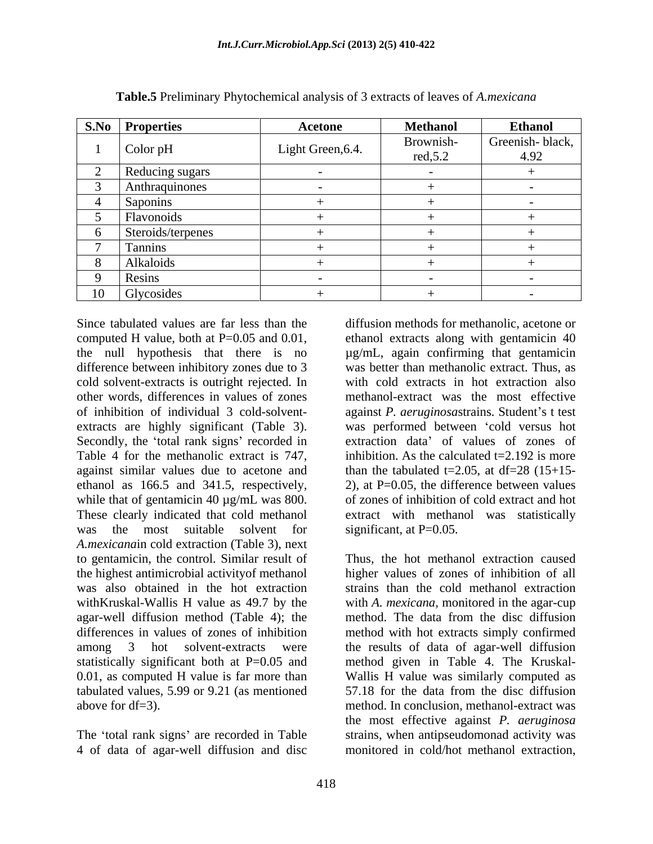| <b>S.No Properties</b> | Acetone           | <b>Methanol</b> | <b>Ethanol</b>  |
|------------------------|-------------------|-----------------|-----------------|
| Color pH               | Light Green, 6.4. | Brownish-       | Greenish-black, |
|                        |                   | red, 5.2        | 4.92            |
| Reducing sugars        |                   |                 |                 |
| Anthraquinones         |                   |                 |                 |
| Saponins               |                   |                 |                 |
| <b>Flavonoids</b>      |                   |                 |                 |
| Steroids/terpenes      |                   |                 |                 |
| Tannins                |                   |                 |                 |
| Alkaloids              |                   |                 |                 |
| Resins                 |                   |                 |                 |
| 10 Glycosides          |                   |                 |                 |

**Table.5** Preliminary Phytochemical analysis of 3 extracts of leaves of *A.mexicana*

Since tabulated values are far less than the diffusion methods for methanolic, acetone or extracts are highly significant (Table 3). Secondly, the 'total rank signs' recorded in ethanol as 166.5 and 341.5, respectively, while that of gentamicin 40  $\mu$ g/mL was 800. *A.mexicana*in cold extraction (Table 3), next to gentamicin, the control. Similar result of the highest antimicrobial activityof methanol higher values of zones of inhibition of all was also obtained in the hot extraction strains than the cold methanol extraction withKruskal-Wallis H value as 49.7 by the with *A. mexicana,* monitored in the agar-cup agar-well diffusion method (Table 4); the method. The data from the disc diffusion differences in values of zones of inhibition method with hot extracts simply confirmed among 3 hot solvent-extracts were the results of data of agar-well diffusion statistically significant both at P=0.05 and method given in Table 4. The Kruskal-0.01, as computed H value is far more than Wallis H value was similarly computed as tabulated values, 5.99 or 9.21 (as mentioned

4 of data of agar-well diffusion and disc

computed H value, both at P=0.05 and 0.01, the null hypothesis that there is no  $\mu$ g/mL, again confirming that gentamicin difference between inhibitory zones due to 3 was better than methanolic extract. Thus, as cold solvent-extracts is outright rejected. In with cold extracts in hot extraction also other words, differences in values of zones methanol-extract was the most effective of inhibition of individual 3 cold-solvent- against *P. aeruginosastrains*. Student's t test Table 4 for the methanolic extract is 747, inhibition. As the calculated t=2.192 is more against similar values due to acetone and than the tabulated t=2.05, at df=28 (15+15-These clearly indicated that cold methanol extract with methanol was statistically was the most suitable solvent for significant, at  $P=0.05$ . ethanol extracts along with gentamicin 40 µg/mL, again confirming that gentamicin was performed between 'cold versus hot extraction data' of values of zones of inhibition. As the calculated  $t=2.192$  is more than the tabulated t=2.05, at df=28  $(15+15-$ 2), at  $P=0.05$ , the difference between values of zones of inhibition of cold extract and hot significant, at P=0.05.<br>Thus, the hot methanol extraction caused

above for df=3). method. In conclusion, methanol-extract was The 'total rank signs' are recorded in Table strains, when antipseudomonad activity was 57.18 for the data from the disc diffusion the most effective against *P. aeruginosa* monitored in cold/hot methanol extraction,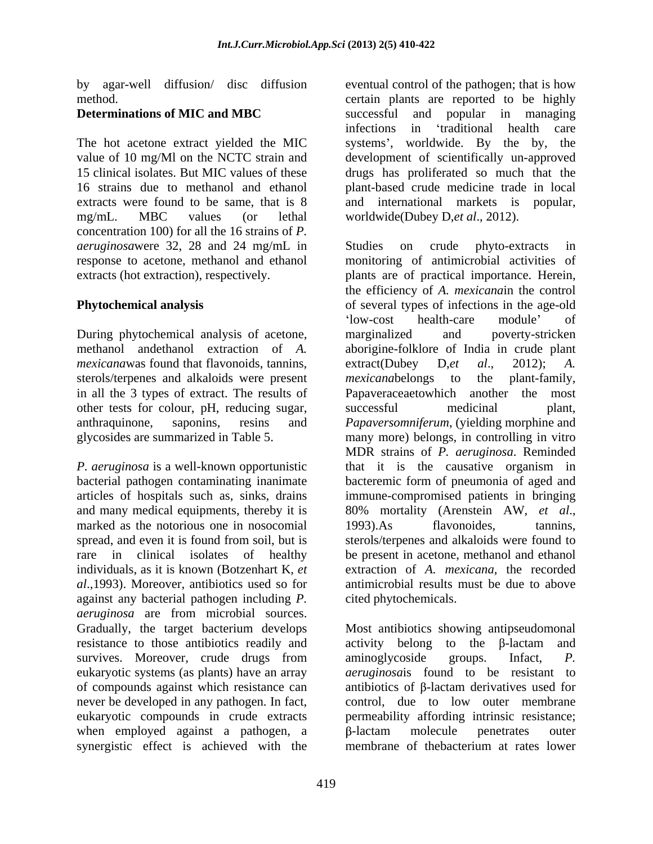The hot acetone extract yielded the MIC systems', worldwide. By the by, the extracts were found to be same, that is 8 and international markets is popular, mg/mL. MBC values (or lethal worldwide(Dubey D,et al., 2012). concentration 100) for all the 16 strains of *P. aeruginosa*were 32, 28 and 24 mg/mL in

During phytochemical analysis of acetone, marginalized and poverty-stricken *mexicanawas* found that flavonoids, tannins, extract(Dubey D,et al., 2012); A. sterols/terpenes and alkaloids were present mexicanabelongs to the plant-family, other tests for colour, pH, reducing sugar, successful medicinal plant,

and many medical equipments, thereby it is  $80\%$  mortality (Arenstein AW, et al., marked as the notorious one in nosocomial and 1993). As flavonoides, tannins, *al*.,1993). Moreover, antibiotics used so for against any bacterial pathogen including *P. aeruginosa* are from microbial sources. resistance to those antibiotics readily and of compounds against which resistance can never be developed in any pathogen. In fact, when employed against a pathogen, a B-lactam molecule penetrates outer synergistic effect is achieved with the membrane of the bacterium at rates lower

by agar-well diffusion/ disc diffusion eventual control of the pathogen; that is how method. certain plants are reported to be highly **Determinations of MIC and MBC** successful and popular in managing value of 10 mg/Ml on the NCTC strain and development of scientifically un-approved 15 clinical isolates. But MIC values of these drugs has proliferated so much that the 16 strains due to methanol and ethanol plant-based crude medicine trade in local successful and popular in managing infections in traditional health care systems', worldwide. By the by, and international markets is

response to acetone, methanol and ethanol monitoring of antimicrobial activities of extracts (hot extraction), respectively. plants are of practical importance. Herein, **Phytochemical analysis** of several types of infections in the age-old methanol andethanol extraction of *A.*  aborigine-folklore of India in crude plant in all the 3 types of extract. The results of Papaveraceaetowhich another the most anthraquinone, saponins, resins and *Papaversomniferum*, (yielding morphine and glycosides are summarized in Table 5. many more) belongs, in controlling in vitro *P. aeruginosa* is a well-known opportunistic that it is the causative organism in bacterial pathogen contaminating inanimate bacteremic form of pneumonia of aged and articles of hospitals such as, sinks, drains immune-compromised patients in bringing spread, and even it is found from soil, but is sterols/terpenes and alkaloids were found to rare in clinical isolates of healthy be present in acetone, methanol and ethanol individuals, as it is known (Botzenhart K, *et*  extraction of *A. mexicana*, the recorded worldwide(Dubey D,*et al.*, 2012).<br>Studies on crude phyto-extracts in the efficiency of *A. mexicana*in the control low-cost health-care module' of marginalized and poverty-stricken extract(Dubey D,*et al*., 2012); *A. mexicana*belongs to the plant-family, successful medicinal plant, MDR strains of *P. aeruginosa*. Reminded 80% mortality (Arenstein AW, *et al.*, 1993). As flavonoides, tannins, antimicrobial results must be due to above cited phytochemicals.

Gradually, the target bacterium develops Most antibiotics showing antipseudomonal survives. Moreover, crude drugs from aminoglycoside groups. Infact, P. eukaryotic systems (as plants) have an array *aeruginosa*is found to be resistant to eukaryotic compounds in crude extracts permeability affording intrinsic resistance; activity belong to the  $\beta$ -lactam and aminoglycoside groups. Infact, *P.*  antibiotics of B-lactam derivatives used for control, due to low outer membrane -lactam molecule penetrates outer membrane of thebacterium at rates lower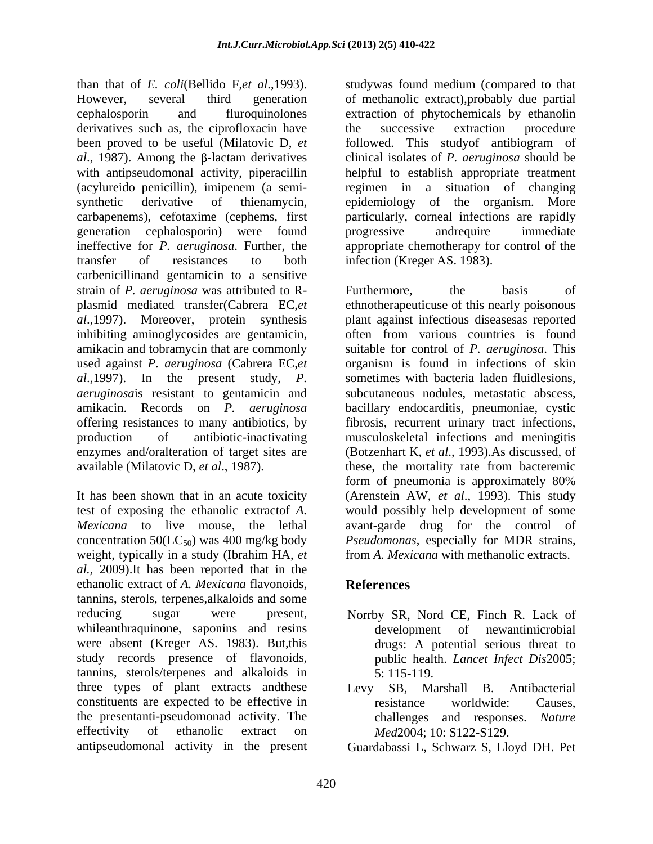than that of *E. coli*(Bellido F,*et al.*,1993). Studywas found medium (compared to that However, several third generation of methanolic extract), probably due partial cephalosporin and fluroquinolones extraction of phytochemicals by ethanolin derivatives such as, the ciprofloxacin have the successive extraction procedure been proved to be useful (Milatovic D, *et*  followed. This studyof antibiogram of *al.*, 1987). Among the β-lactam derivatives clinical isolates of *P. aeruginosa* should be with antipseudomonal activity, piperacillin helpful to establish appropriate treatment (acylureido penicillin), imipenem (a semi- regimen in a situation of changing synthetic derivative of thienamycin, epidemiology of the organism. More carbapenems), cefotaxime (cephems, first generation cephalosporin) were found ineffective for *P. aeruginosa*. Further, the appropriate chemotherapy for control of the transfer of resistances to both infection (Kreger AS. 1983). carbenicillinand gentamicin to a sensitive strain of *P. aeruginosa* was attributed to R plasmid mediated transfer(Cabrera EC,*et*  ethnotherapeuticuse of this nearly poisonous *al*.,1997). Moreover, protein synthesis plant against infectious diseasesas reported inhibiting aminoglycosides are gentamicin, amikacin and tobramycin that are commonly used against *P. aeruginosa* (Cabrera EC,*et*  organism is found in infections of skin *al*.,1997). In the present study, *P. aeruginosa*is resistant to gentamicin and subcutaneous nodules, metastatic abscess, amikacin. Records on *P. aeruginosa* bacillary endocarditis, pneumoniae, cystic offering resistances to many antibiotics, by fibrosis, recurrent urinary tract infections, production of antibiotic-inactivating enzymes and/oralteration of target sites are (Botzenhart K, *et al*., 1993).As discussed, of available (Milatovic D, *et al*., 1987). these, the mortality rate from bacteremic

concentration  $50(LC_{50})$  was 400 mg/kg body weight, typically in a study (Ibrahim HA, *et al.,* 2009).It has been reported that in the ethanolic extract of *A. Mexicana* flavonoids, tannins, sterols, terpenes,alkaloids and some reducing sugar were present, Norrby SR, Nord CE, Finch R. Lack of whileanthraquinone, saponins and resins development of newantimicrobial were absent (Kreger AS. 1983). But,this study records presence of flavonoids, tannins, sterols/terpenes and alkaloids in three types of plant extracts andthese constituents are expected to be effective in the resistance worldwide: Causes. the presentanti-pseudomonad activity. The effectivity of ethanolic extract on *Med*2004; 10: S122-S129.

studywas found medium (compared to that of methanolic extract),probably due partial the successive extraction procedure particularly, corneal infections are rapidly progressive andrequire immediate

It has been shown that in an acute toxicity (Arenstein AW, *et al*., 1993). This study test of exposing the ethanolic extractof *A.*  would possibly help development of some *Mexicana* to live mouse, the lethal avant-garde drug for the control of infection (Kreger AS. 1983).<br>Furthermore, the basis of often from various countries is found suitable for control of *P. aeruginosa*. This sometimes with bacteria laden fluidlesions, fibrosis, recurrent urinary tract infections,<br>musculoskeletal infections and meningitis form of pneumonia is approximately 80% *Pseudomonas*, especially for MDR strains, from *A. Mexicana* with methanolic extracts.

# **References**

- development of newantimicrobial drugs: A potential serious threat to public health. *Lancet Infect Dis*2005; 5: 115-119.
- Levy SB, Marshall B. Antibacterial resistance worldwide: Causes, challenges and responses. *Nature Med*2004; 10: S122-S129.
- antipseudomonal activity in the present Guardabassi L, Schwarz S, Lloyd DH. Pet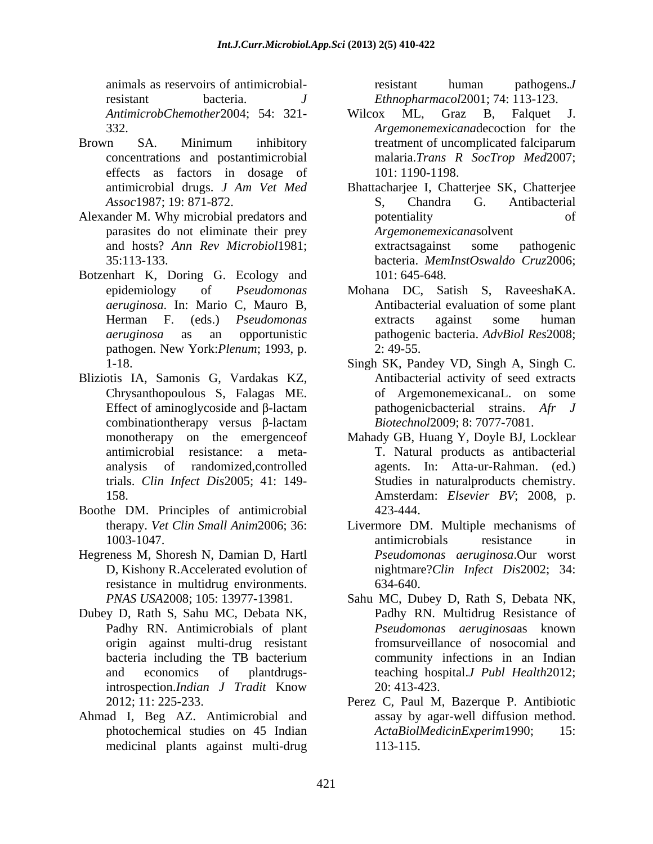animals as reservoirs of antimicrobialresistant bacteria. *J Ethnopharmacol*2001; 74: 113-123.

- effects as factors in dosage of
- Alexander M. Why microbial predators and potentiality of potentiality parasites do not eliminate their prey
- Botzenhart K, Doring G. Ecology and 101:645-648. pathogen. New York:*Plenum*; 1993, p.
- Bliziotis IA, Samonis G, Vardakas KZ, Chrysanthopoulous S, Falagas ME. Effect of aminoglycoside and  $\beta$ -lactam combinationtherapy versus  $\beta$ -lactam
- Boothe DM. Principles of antimicrobial
- Hegreness M, Shoresh N, Damian D, Hartl resistance in multidrug environments. 634-640.
- Dubey D, Rath S, Sahu MC, Debata NK,
- Ahmad I, Beg AZ. Antimicrobial and medicinal plants against multi-drug

resistant human pathogens.*J* 

- *AntimicrobChemother*2004; 54: 321- 332. *Argemonemexicana*decoction for the Brown SA. Minimum inhibitory treatment of uncomplicated falciparum concentrations and postantimicrobial malaria.*Trans R SocTrop Med*2007; Wilcox ML, Graz B, Falquet J. treatment of uncomplicated falciparum 101: 1190-1198.
	- antimicrobial drugs. *J Am Vet Med* Bhattacharjee I, Chatterjee SK, Chatterjee *Assoc*1987; 19: 871-872. and hosts? *Ann Rev Microbiol*1981; 35:113-133. bacteria. *MemInstOswaldo Cruz*2006; S, Chandra G. Antibacterial potentiality of of *Argemonemexicana*solvent extractsagainst some pathogenic 101: 645-648.
	- epidemiology of *Pseudomonas*  Mohana DC, Satish S, RaveeshaKA. *aeruginosa*. In: Mario C, Mauro B, Antibacterial evaluation of some plant Herman F. (eds.) *Pseudomonas aeruginosa* as an opportunistic pathogenic bacteria. *AdvBiol Res*2008; extracts against some human 2: 49-55.
	- 1-18. Singh SK, Pandey VD, Singh A, Singh C. Antibacterial activity of seed extracts of ArgemonemexicanaL. on some pathogenicbacterial strains. *Afr J Biotechnol*2009; 8: 7077-7081.
	- monotherapy on the emergenceof Mahady GB, Huang Y, Doyle BJ, Locklear antimicrobial resistance: a meta- T. Natural products as antibacterial analysis of randomized,controlled agents. In: Atta-ur-Rahman. (ed.) trials. *Clin Infect Dis*2005; 41: 149- 158. Amsterdam: Elsevier BV; 2008, p. Studies in naturalproducts chemistry. Amsterdam: *Elsevier BV*; 2008, p. 423-444.
	- therapy. *Vet Clin Small Anim*2006; 36: Livermore DM. Multiple mechanisms of 1003-1047. antimicrobials resistance in D, Kishony R.Accelerated evolution of nightmare?*Clin Infect Dis*2002; 34: antimicrobials resistance in *Pseudomonas aeruginosa*.Our worst 634-640.
	- *PNAS USA*2008; 105: 13977-13981. Sahu MC, Dubey D, Rath S, Debata NK, Padhy RN. Antimicrobials of plant *Pseudomonas aeruginosa*as known origin against multi-drug resistant fromsurveillance of nosocomial and bacteria including the TB bacterium and economics of plantdrugs-teaching hospital.*J Publ Health*2012; introspection.*Indian J Tradit* Know Padhy RN. Multidrug Resistance of community infections in an Indian 20: 413-423.
	- 2012; 11: 225-233. Perez C, Paul M, Bazerque P. Antibiotic photochemical studies on 45 Indian ActaBiolMedicinExperim1990; 15: assay by agar-well diffusion method.  $ActaBiolMedian Experiment 1990;$ 113-115.